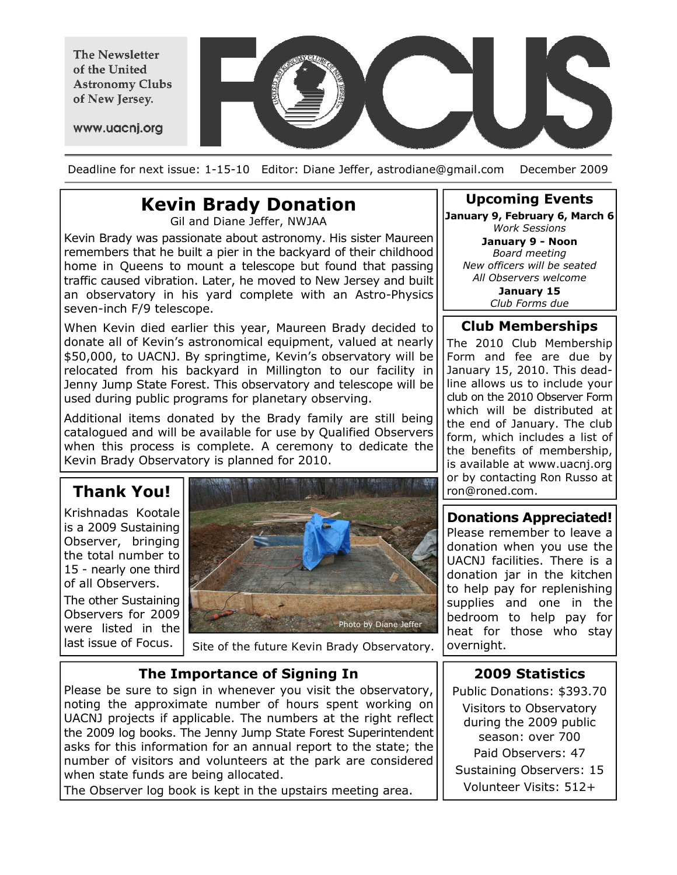The Newsletter of the United **Astronomy Clubs** of New Jersey.



www.uacnj.org

Deadline for next issue: 1-15-10 Editor: Diane Jeffer, astrodiane@gmail.com December 2009

## Kevin Brady Donation

Gil and Diane Jeffer, NWJAA

Kevin Brady was passionate about astronomy. His sister Maureen remembers that he built a pier in the backyard of their childhood home in Queens to mount a telescope but found that passing traffic caused vibration. Later, he moved to New Jersey and built an observatory in his yard complete with an Astro-Physics seven-inch F/9 telescope.

When Kevin died earlier this year, Maureen Brady decided to donate all of Kevin's astronomical equipment, valued at nearly \$50,000, to UACNJ. By springtime, Kevin's observatory will be relocated from his backyard in Millington to our facility in Jenny Jump State Forest. This observatory and telescope will be used during public programs for planetary observing.

Additional items donated by the Brady family are still being catalogued and will be available for use by Qualified Observers when this process is complete. A ceremony to dedicate the Kevin Brady Observatory is planned for 2010.

### Thank You!

Krishnadas Kootale is a 2009 Sustaining Observer, bringing the total number to 15 - nearly one third of all Observers.

The other Sustaining Observers for 2009 were listed in the last issue of Focus.



Site of the future Kevin Brady Observatory.

#### The Importance of Signing In

Please be sure to sign in whenever you visit the observatory, noting the approximate number of hours spent working on UACNJ projects if applicable. The numbers at the right reflect the 2009 log books. The Jenny Jump State Forest Superintendent asks for this information for an annual report to the state; the number of visitors and volunteers at the park are considered when state funds are being allocated.

The Observer log book is kept in the upstairs meeting area.

#### Upcoming Events January 9, February 6, March 6

Work Sessions January 9 - Noon Board meeting New officers will be seated All Observers welcome January 15 Club Forms due

#### Club Memberships

The 2010 Club Membership Form and fee are due by January 15, 2010. This deadline allows us to include your club on the 2010 Observer Form which will be distributed at the end of January. The club form, which includes a list of the benefits of membership, is available at www.uacnj.org or by contacting Ron Russo at ron@roned.com.

#### Donations Appreciated! Please remember to leave a

donation when you use the UACNJ facilities. There is a donation jar in the kitchen to help pay for replenishing supplies and one in the bedroom to help pay for heat for those who stay overnight.

#### 2009 Statistics

Public Donations: \$393.70 Visitors to Observatory during the 2009 public season: over 700 Paid Observers: 47 Sustaining Observers: 15 Volunteer Visits: 512+